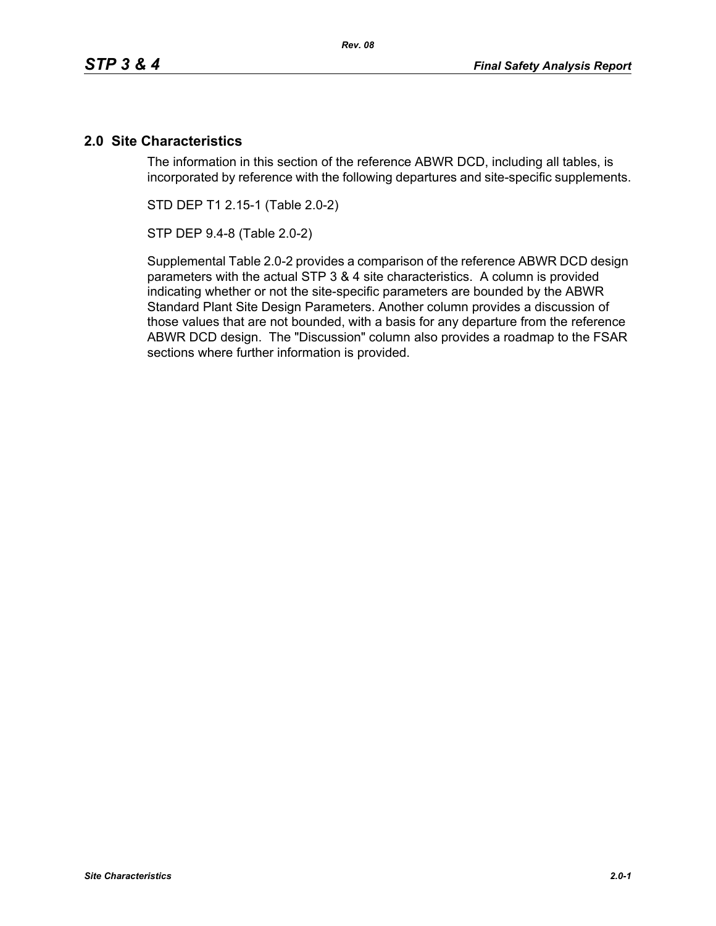# **2.0 Site Characteristics**

The information in this section of the reference ABWR DCD, including all tables, is incorporated by reference with the following departures and site-specific supplements.

STD DEP T1 2.15-1 (Table 2.0-2)

STP DEP 9.4-8 (Table 2.0-2)

Supplemental Table 2.0-2 provides a comparison of the reference ABWR DCD design parameters with the actual STP 3 & 4 site characteristics. A column is provided indicating whether or not the site-specific parameters are bounded by the ABWR Standard Plant Site Design Parameters. Another column provides a discussion of those values that are not bounded, with a basis for any departure from the reference ABWR DCD design. The "Discussion" column also provides a roadmap to the FSAR sections where further information is provided.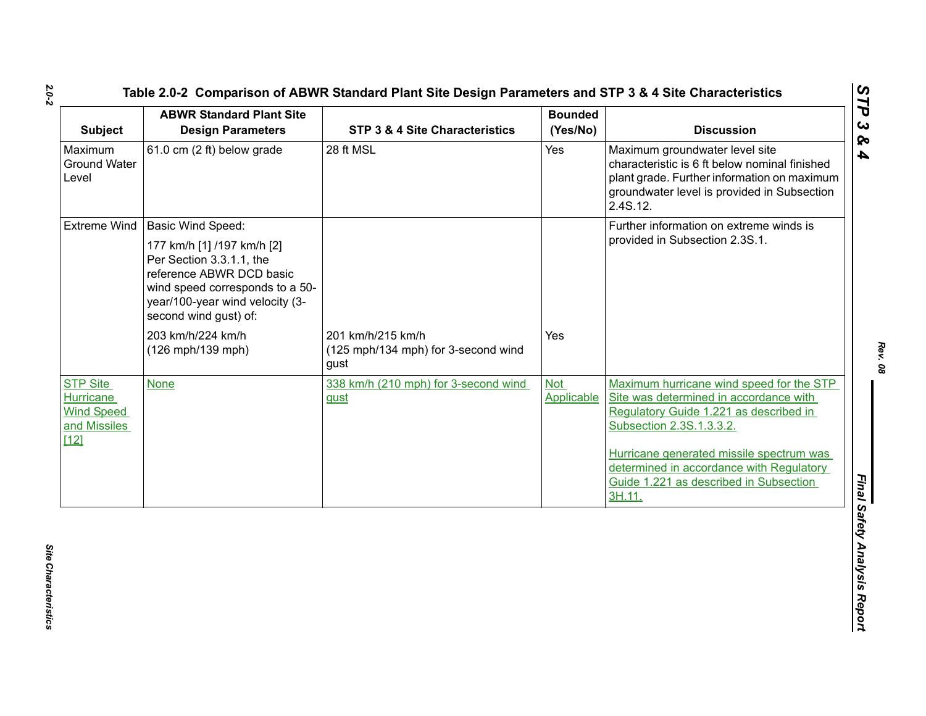| <b>Subject</b>                                                                     | <b>ABWR Standard Plant Site</b><br><b>Design Parameters</b>                                                                                                                       | <b>STP 3 &amp; 4 Site Characteristics</b>                        | <b>Bounded</b><br>(Yes/No)      | <b>Discussion</b>                                                                                                                                                                                                                                                                                    |
|------------------------------------------------------------------------------------|-----------------------------------------------------------------------------------------------------------------------------------------------------------------------------------|------------------------------------------------------------------|---------------------------------|------------------------------------------------------------------------------------------------------------------------------------------------------------------------------------------------------------------------------------------------------------------------------------------------------|
| Maximum<br><b>Ground Water</b><br>Level                                            | 61.0 cm (2 ft) below grade                                                                                                                                                        | 28 ft MSL                                                        | Yes                             | Maximum groundwater level site<br>characteristic is 6 ft below nominal finished<br>plant grade. Further information on maximum<br>groundwater level is provided in Subsection<br>2.4S.12.                                                                                                            |
|                                                                                    | Extreme Wind   Basic Wind Speed:                                                                                                                                                  |                                                                  |                                 | Further information on extreme winds is                                                                                                                                                                                                                                                              |
|                                                                                    | 177 km/h [1] /197 km/h [2]<br>Per Section 3.3.1.1, the<br>reference ABWR DCD basic<br>wind speed corresponds to a 50-<br>year/100-year wind velocity (3-<br>second wind gust) of: |                                                                  |                                 | provided in Subsection 2.3S.1.                                                                                                                                                                                                                                                                       |
|                                                                                    | 203 km/h/224 km/h<br>(126 mph/139 mph)                                                                                                                                            | 201 km/h/215 km/h<br>(125 mph/134 mph) for 3-second wind<br>gust | <b>Yes</b>                      |                                                                                                                                                                                                                                                                                                      |
| <b>STP Site</b><br><b>Hurricane</b><br><b>Wind Speed</b><br>and Missiles<br>$[12]$ | <b>None</b>                                                                                                                                                                       | 338 km/h (210 mph) for 3-second wind<br>gust                     | <b>Not</b><br><b>Applicable</b> | Maximum hurricane wind speed for the STP<br>Site was determined in accordance with<br>Regulatory Guide 1.221 as described in<br>Subsection 2.3S.1.3.3.2.<br>Hurricane generated missile spectrum was<br>determined in accordance with Regulatory<br>Guide 1.221 as described in Subsection<br>3H.11. |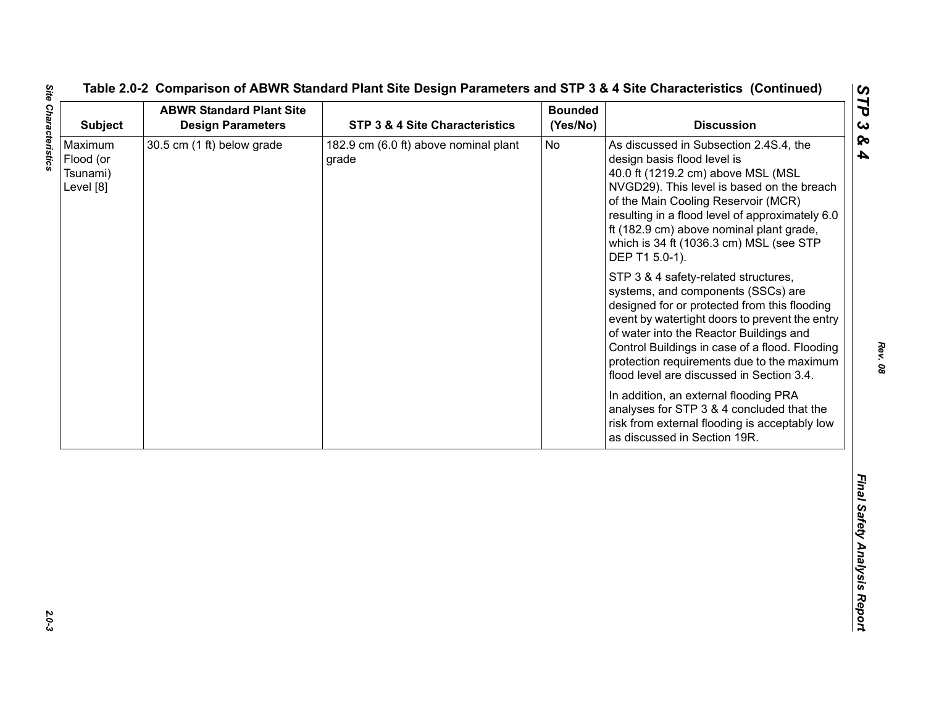| <b>Subject</b>                                | <b>ABWR Standard Plant Site</b><br><b>Design Parameters</b> | STP 3 & 4 Site Characteristics                 | <b>Bounded</b><br>(Yes/No) | <b>Discussion</b>                                                                                                                                                                                                                                                                                                                                                                                                                                                                                                                                                                                                                                                                                                                                                                                                                                                                                           |
|-----------------------------------------------|-------------------------------------------------------------|------------------------------------------------|----------------------------|-------------------------------------------------------------------------------------------------------------------------------------------------------------------------------------------------------------------------------------------------------------------------------------------------------------------------------------------------------------------------------------------------------------------------------------------------------------------------------------------------------------------------------------------------------------------------------------------------------------------------------------------------------------------------------------------------------------------------------------------------------------------------------------------------------------------------------------------------------------------------------------------------------------|
| Maximum<br>Flood (or<br>Tsunami)<br>Level [8] | 30.5 cm (1 ft) below grade                                  | 182.9 cm (6.0 ft) above nominal plant<br>grade | No                         | As discussed in Subsection 2.4S.4, the<br>design basis flood level is<br>40.0 ft (1219.2 cm) above MSL (MSL<br>NVGD29). This level is based on the breach<br>of the Main Cooling Reservoir (MCR)<br>resulting in a flood level of approximately 6.0<br>ft (182.9 cm) above nominal plant grade,<br>which is 34 ft (1036.3 cm) MSL (see STP<br>DEP T1 5.0-1).<br>STP 3 & 4 safety-related structures,<br>systems, and components (SSCs) are<br>designed for or protected from this flooding<br>event by watertight doors to prevent the entry<br>of water into the Reactor Buildings and<br>Control Buildings in case of a flood. Flooding<br>protection requirements due to the maximum<br>flood level are discussed in Section 3.4.<br>In addition, an external flooding PRA<br>analyses for STP 3 & 4 concluded that the<br>risk from external flooding is acceptably low<br>as discussed in Section 19R. |
|                                               |                                                             |                                                |                            |                                                                                                                                                                                                                                                                                                                                                                                                                                                                                                                                                                                                                                                                                                                                                                                                                                                                                                             |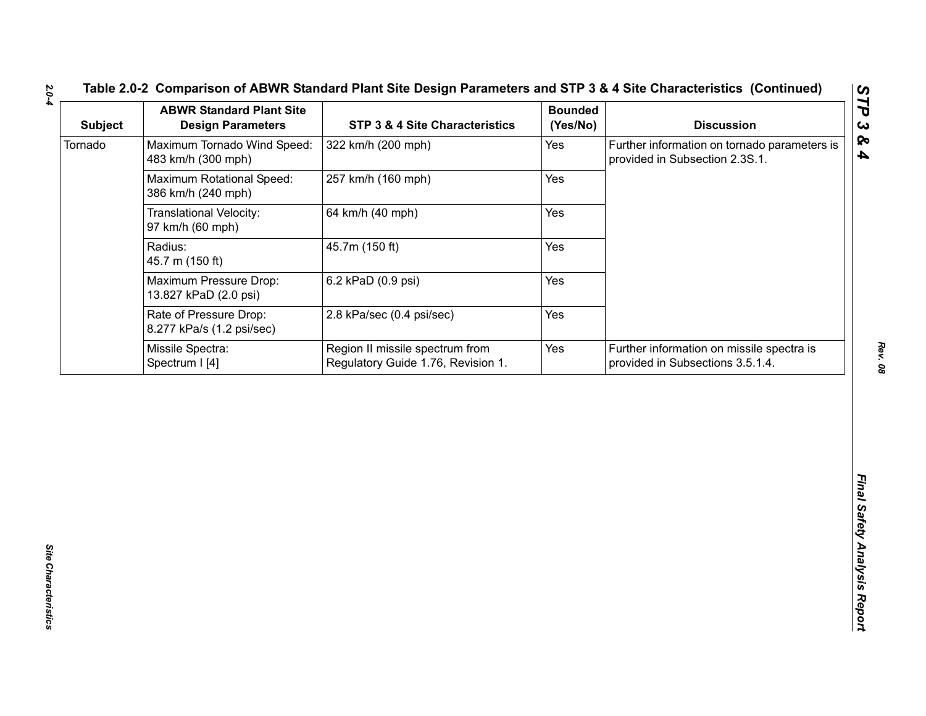| <b>Subject</b> | <b>ABWR Standard Plant Site</b><br><b>Design Parameters</b> | <b>STP 3 &amp; 4 Site Characteristics</b>                             | <b>Bounded</b><br>(Yes/No) | <b>Discussion</b>                                                              |
|----------------|-------------------------------------------------------------|-----------------------------------------------------------------------|----------------------------|--------------------------------------------------------------------------------|
| Tornado        | Maximum Tornado Wind Speed:<br>483 km/h (300 mph)           | 322 km/h (200 mph)                                                    | Yes                        | Further information on tornado parameters is<br>provided in Subsection 2.3S.1. |
|                | Maximum Rotational Speed:<br>386 km/h (240 mph)             | 257 km/h (160 mph)                                                    | Yes                        |                                                                                |
|                | <b>Translational Velocity:</b><br>97 km/h (60 mph)          | 64 km/h (40 mph)                                                      | Yes                        |                                                                                |
|                | Radius:<br>45.7 m (150 ft)                                  | 45.7m (150 ft)                                                        | Yes                        |                                                                                |
|                | Maximum Pressure Drop:<br>13.827 kPaD (2.0 psi)             | 6.2 kPaD (0.9 psi)                                                    | Yes                        |                                                                                |
|                | Rate of Pressure Drop:<br>8.277 kPa/s (1.2 psi/sec)         | 2.8 kPa/sec (0.4 psi/sec)                                             | Yes                        |                                                                                |
|                | Missile Spectra:<br>Spectrum I [4]                          | Region II missile spectrum from<br>Regulatory Guide 1.76, Revision 1. | Yes                        | Further information on missile spectra is<br>provided in Subsections 3.5.1.4.  |
|                |                                                             |                                                                       |                            |                                                                                |
|                |                                                             |                                                                       |                            |                                                                                |

*Rev. 08*

*2.0-4*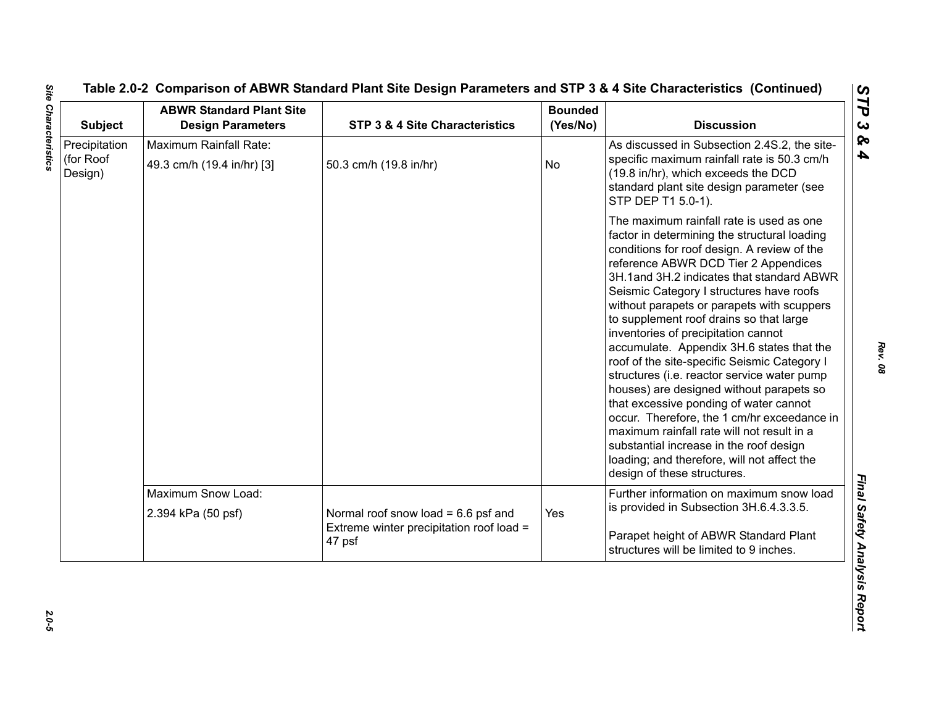| <b>Subject</b>                        | <b>ABWR Standard Plant Site</b><br><b>Design Parameters</b> | STP 3 & 4 Site Characteristics                                                              | <b>Bounded</b><br>(Yes/No) | <b>Discussion</b>                                                                                                                                                                                                                                                                                                                                                                                                                                                                                                                                                                                                                                                                                                                                                                                                                                                |
|---------------------------------------|-------------------------------------------------------------|---------------------------------------------------------------------------------------------|----------------------------|------------------------------------------------------------------------------------------------------------------------------------------------------------------------------------------------------------------------------------------------------------------------------------------------------------------------------------------------------------------------------------------------------------------------------------------------------------------------------------------------------------------------------------------------------------------------------------------------------------------------------------------------------------------------------------------------------------------------------------------------------------------------------------------------------------------------------------------------------------------|
| Precipitation<br>(for Roof<br>Design) | Maximum Rainfall Rate:<br>49.3 cm/h (19.4 in/hr) [3]        | 50.3 cm/h (19.8 in/hr)                                                                      | No                         | As discussed in Subsection 2.4S.2, the site-<br>specific maximum rainfall rate is 50.3 cm/h<br>(19.8 in/hr), which exceeds the DCD<br>standard plant site design parameter (see<br>STP DEP T1 5.0-1).                                                                                                                                                                                                                                                                                                                                                                                                                                                                                                                                                                                                                                                            |
|                                       |                                                             |                                                                                             |                            | The maximum rainfall rate is used as one<br>factor in determining the structural loading<br>conditions for roof design. A review of the<br>reference ABWR DCD Tier 2 Appendices<br>3H.1and 3H.2 indicates that standard ABWR<br>Seismic Category I structures have roofs<br>without parapets or parapets with scuppers<br>to supplement roof drains so that large<br>inventories of precipitation cannot<br>accumulate. Appendix 3H.6 states that the<br>roof of the site-specific Seismic Category I<br>structures (i.e. reactor service water pump<br>houses) are designed without parapets so<br>that excessive ponding of water cannot<br>occur. Therefore, the 1 cm/hr exceedance in<br>maximum rainfall rate will not result in a<br>substantial increase in the roof design<br>loading; and therefore, will not affect the<br>design of these structures. |
|                                       | Maximum Snow Load:                                          |                                                                                             |                            | Further information on maximum snow load                                                                                                                                                                                                                                                                                                                                                                                                                                                                                                                                                                                                                                                                                                                                                                                                                         |
|                                       | 2.394 kPa (50 psf)                                          | Normal roof snow load = $6.6$ psf and<br>Extreme winter precipitation roof load =<br>47 psf | Yes                        | is provided in Subsection 3H.6.4.3.3.5.<br>Parapet height of ABWR Standard Plant<br>structures will be limited to 9 inches.                                                                                                                                                                                                                                                                                                                                                                                                                                                                                                                                                                                                                                                                                                                                      |

 $2.0 - 5$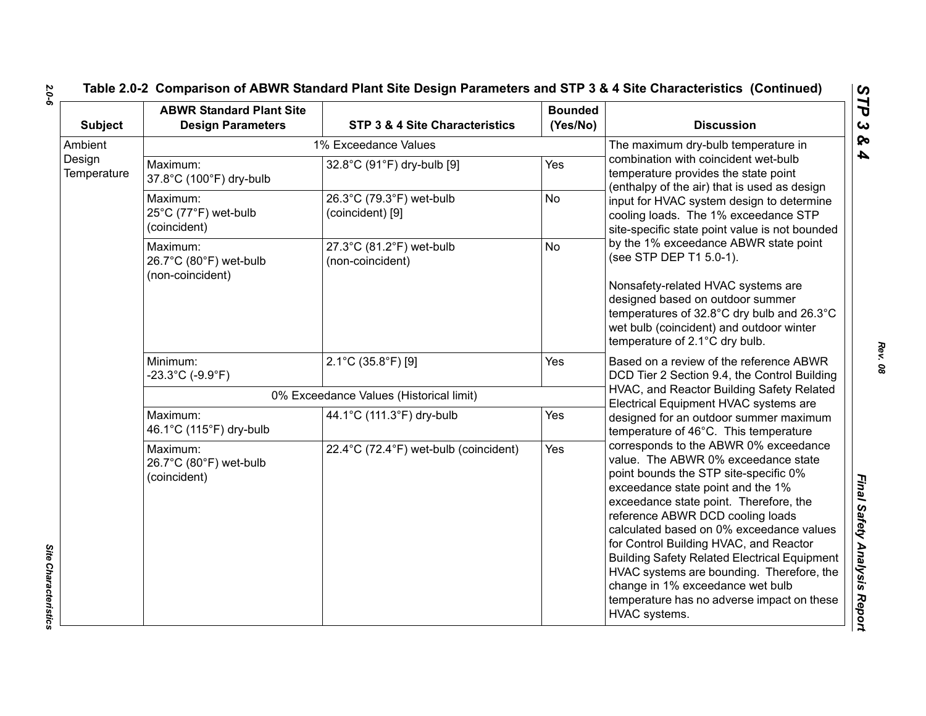| <b>Subject</b>        | <b>ABWR Standard Plant Site</b><br><b>Design Parameters</b> | STP 3 & 4 Site Characteristics               | <b>Bounded</b><br>(Yes/No) | <b>Discussion</b>                                                                                                                                                                                                                                                                                                                                                                                                                                                                                                                     |
|-----------------------|-------------------------------------------------------------|----------------------------------------------|----------------------------|---------------------------------------------------------------------------------------------------------------------------------------------------------------------------------------------------------------------------------------------------------------------------------------------------------------------------------------------------------------------------------------------------------------------------------------------------------------------------------------------------------------------------------------|
| Ambient               |                                                             | 1% Exceedance Values                         |                            | The maximum dry-bulb temperature in                                                                                                                                                                                                                                                                                                                                                                                                                                                                                                   |
| Design<br>Temperature | Maximum:<br>37.8°C (100°F) dry-bulb                         | 32.8°C (91°F) dry-bulb [9]                   | Yes                        | combination with coincident wet-bulb<br>temperature provides the state point<br>(enthalpy of the air) that is used as design                                                                                                                                                                                                                                                                                                                                                                                                          |
|                       | Maximum:<br>25°C (77°F) wet-bulb<br>(coincident)            | 26.3°C (79.3°F) wet-bulb<br>(coincident) [9] | <b>No</b>                  | input for HVAC system design to determine<br>cooling loads. The 1% exceedance STP<br>site-specific state point value is not bounded                                                                                                                                                                                                                                                                                                                                                                                                   |
|                       | Maximum:<br>26.7°C (80°F) wet-bulb                          | 27.3°C (81.2°F) wet-bulb<br>(non-coincident) | <b>No</b>                  | by the 1% exceedance ABWR state point<br>(see STP DEP T1 5.0-1).                                                                                                                                                                                                                                                                                                                                                                                                                                                                      |
|                       | (non-coincident)                                            |                                              |                            | Nonsafety-related HVAC systems are<br>designed based on outdoor summer<br>temperatures of 32.8°C dry bulb and 26.3°C<br>wet bulb (coincident) and outdoor winter<br>temperature of 2.1°C dry bulb.                                                                                                                                                                                                                                                                                                                                    |
|                       | Minimum:<br>$-23.3^{\circ}$ C (-9.9 $^{\circ}$ F)           | 2.1°C (35.8°F) [9]                           | Yes                        | Based on a review of the reference ABWR<br>DCD Tier 2 Section 9.4, the Control Building                                                                                                                                                                                                                                                                                                                                                                                                                                               |
|                       |                                                             | 0% Exceedance Values (Historical limit)      |                            | HVAC, and Reactor Building Safety Related<br>Electrical Equipment HVAC systems are                                                                                                                                                                                                                                                                                                                                                                                                                                                    |
|                       | Maximum:<br>46.1°C (115°F) dry-bulb                         | 44.1°C (111.3°F) dry-bulb                    | Yes                        | designed for an outdoor summer maximum<br>temperature of 46°C. This temperature                                                                                                                                                                                                                                                                                                                                                                                                                                                       |
|                       | Maximum:<br>26.7°C (80°F) wet-bulb<br>(coincident)          | 22.4°C (72.4°F) wet-bulb (coincident)        | Yes                        | corresponds to the ABWR 0% exceedance<br>value. The ABWR 0% exceedance state<br>point bounds the STP site-specific 0%<br>exceedance state point and the 1%<br>exceedance state point. Therefore, the<br>reference ABWR DCD cooling loads<br>calculated based on 0% exceedance values<br>for Control Building HVAC, and Reactor<br><b>Building Safety Related Electrical Equipment</b><br>HVAC systems are bounding. Therefore, the<br>change in 1% exceedance wet bulb<br>temperature has no adverse impact on these<br>HVAC systems. |

*Site Characteristics* 

Site Characteristics

*Rev. 08*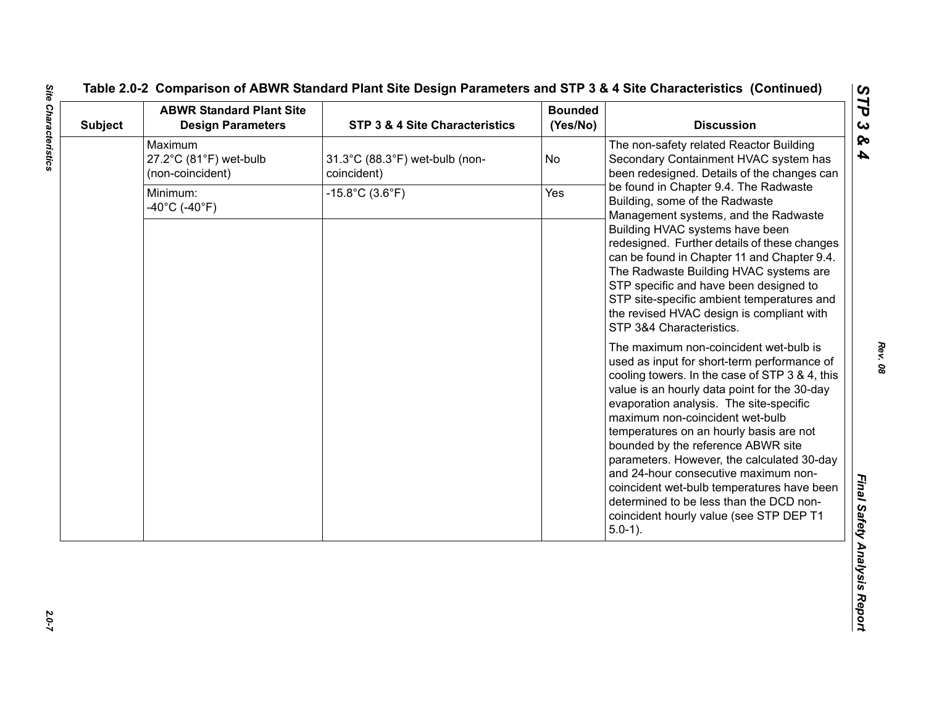| <b>Subject</b> | <b>ABWR Standard Plant Site</b><br><b>Design Parameters</b> | <b>STP 3 &amp; 4 Site Characteristics</b>     | <b>Bounded</b><br>(Yes/No) | <b>Discussion</b>                                                                                                                                                                                                                                                                                                                                                                                                                                                                                                                                                                                                                                                                                                                                                                                                                                                                                                                                                                                                                                              |
|----------------|-------------------------------------------------------------|-----------------------------------------------|----------------------------|----------------------------------------------------------------------------------------------------------------------------------------------------------------------------------------------------------------------------------------------------------------------------------------------------------------------------------------------------------------------------------------------------------------------------------------------------------------------------------------------------------------------------------------------------------------------------------------------------------------------------------------------------------------------------------------------------------------------------------------------------------------------------------------------------------------------------------------------------------------------------------------------------------------------------------------------------------------------------------------------------------------------------------------------------------------|
|                | Maximum<br>27.2°C (81°F) wet-bulb<br>(non-coincident)       | 31.3°C (88.3°F) wet-bulb (non-<br>coincident) | No                         | The non-safety related Reactor Building<br>Secondary Containment HVAC system has<br>been redesigned. Details of the changes can                                                                                                                                                                                                                                                                                                                                                                                                                                                                                                                                                                                                                                                                                                                                                                                                                                                                                                                                |
|                | Minimum:<br>$-40^{\circ}$ C (-40 $^{\circ}$ F)              | $-15.8^{\circ}$ C (3.6 $^{\circ}$ F)          | Yes                        | be found in Chapter 9.4. The Radwaste<br>Building, some of the Radwaste<br>Management systems, and the Radwaste<br>Building HVAC systems have been<br>redesigned. Further details of these changes<br>can be found in Chapter 11 and Chapter 9.4.<br>The Radwaste Building HVAC systems are<br>STP specific and have been designed to<br>STP site-specific ambient temperatures and<br>the revised HVAC design is compliant with<br>STP 3&4 Characteristics.<br>The maximum non-coincident wet-bulb is<br>used as input for short-term performance of<br>cooling towers. In the case of STP 3 & 4, this<br>value is an hourly data point for the 30-day<br>evaporation analysis. The site-specific<br>maximum non-coincident wet-bulb<br>temperatures on an hourly basis are not<br>bounded by the reference ABWR site<br>parameters. However, the calculated 30-day<br>and 24-hour consecutive maximum non-<br>coincident wet-bulb temperatures have been<br>determined to be less than the DCD non-<br>coincident hourly value (see STP DEP T1<br>$5.0-1$ ). |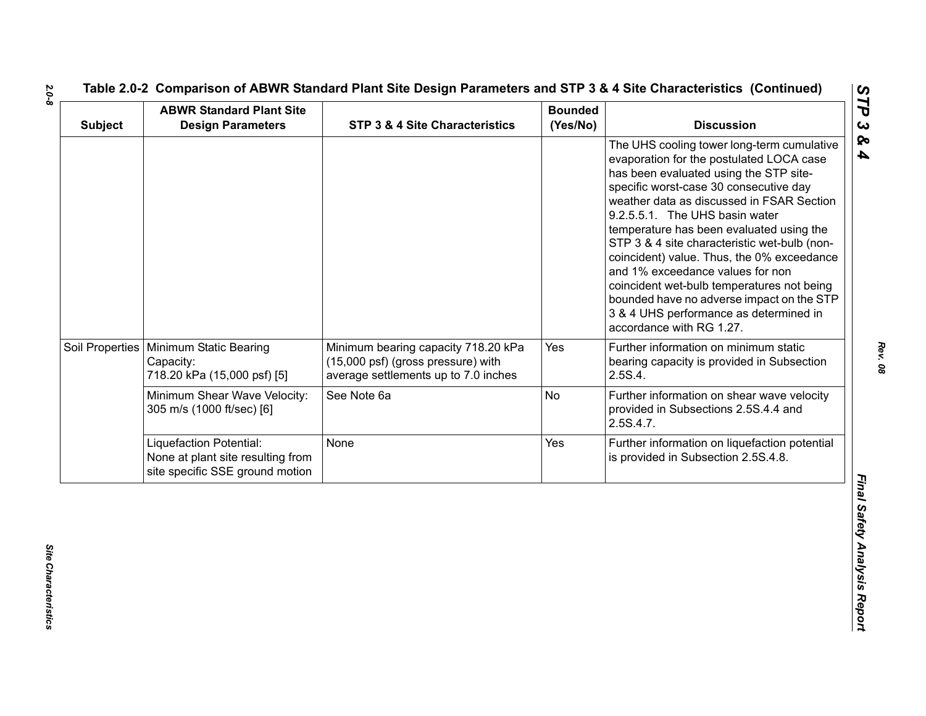| <b>Subject</b> | <b>ABWR Standard Plant Site</b><br><b>Design Parameters</b>                                     | STP 3 & 4 Site Characteristics                                                                                    | <b>Bounded</b><br>(Yes/No) | <b>Discussion</b>                                                                                                                                                                                                                                                                                                                                                                                                                                                                                                                                                                                        |
|----------------|-------------------------------------------------------------------------------------------------|-------------------------------------------------------------------------------------------------------------------|----------------------------|----------------------------------------------------------------------------------------------------------------------------------------------------------------------------------------------------------------------------------------------------------------------------------------------------------------------------------------------------------------------------------------------------------------------------------------------------------------------------------------------------------------------------------------------------------------------------------------------------------|
|                |                                                                                                 |                                                                                                                   |                            | The UHS cooling tower long-term cumulative<br>evaporation for the postulated LOCA case<br>has been evaluated using the STP site-<br>specific worst-case 30 consecutive day<br>weather data as discussed in FSAR Section<br>9.2.5.5.1. The UHS basin water<br>temperature has been evaluated using the<br>STP 3 & 4 site characteristic wet-bulb (non-<br>coincident) value. Thus, the 0% exceedance<br>and 1% exceedance values for non<br>coincident wet-bulb temperatures not being<br>bounded have no adverse impact on the STP<br>3 & 4 UHS performance as determined in<br>accordance with RG 1.27. |
|                | Soil Properties   Minimum Static Bearing<br>Capacity:<br>718.20 kPa (15,000 psf) [5]            | Minimum bearing capacity 718.20 kPa<br>(15,000 psf) (gross pressure) with<br>average settlements up to 7.0 inches | Yes                        | Further information on minimum static<br>bearing capacity is provided in Subsection<br>2.5S.4.                                                                                                                                                                                                                                                                                                                                                                                                                                                                                                           |
|                | Minimum Shear Wave Velocity:<br>305 m/s (1000 ft/sec) [6]                                       | See Note 6a                                                                                                       | No                         | Further information on shear wave velocity<br>provided in Subsections 2.5S.4.4 and<br>2.5S.4.7.                                                                                                                                                                                                                                                                                                                                                                                                                                                                                                          |
|                | Liquefaction Potential:<br>None at plant site resulting from<br>site specific SSE ground motion | None                                                                                                              | Yes                        | Further information on liquefaction potential<br>is provided in Subsection 2.5S.4.8.                                                                                                                                                                                                                                                                                                                                                                                                                                                                                                                     |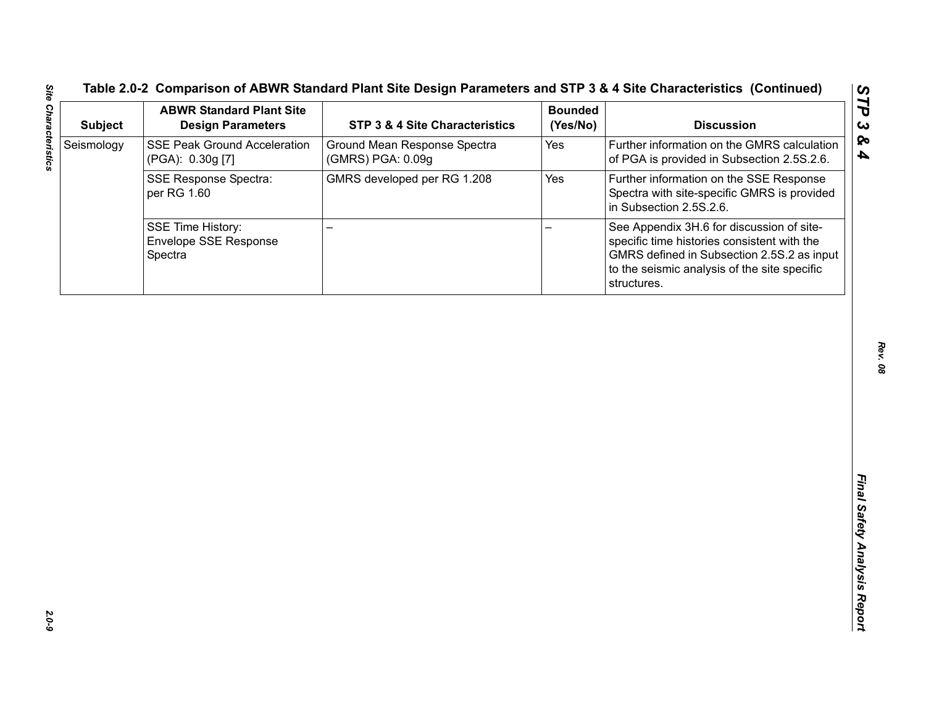| <b>Subject</b> | <b>ABWR Standard Plant Site</b><br><b>Design Parameters</b>  | STP 3 & 4 Site Characteristics                    | <b>Bounded</b><br>(Yes/No) | <b>Discussion</b>                                                                                                                                                                                     |
|----------------|--------------------------------------------------------------|---------------------------------------------------|----------------------------|-------------------------------------------------------------------------------------------------------------------------------------------------------------------------------------------------------|
| Seismology     | <b>SSE Peak Ground Acceleration</b><br>(PGA): 0.30g [7]      | Ground Mean Response Spectra<br>(GMRS) PGA: 0.09g | Yes                        | Further information on the GMRS calculation<br>of PGA is provided in Subsection 2.5S.2.6.                                                                                                             |
|                | <b>SSE Response Spectra:</b><br>per RG 1.60                  | GMRS developed per RG 1.208                       | Yes                        | Further information on the SSE Response<br>Spectra with site-specific GMRS is provided<br>in Subsection 2.5S.2.6.                                                                                     |
|                | <b>SSE Time History:</b><br>Envelope SSE Response<br>Spectra | ▃                                                 |                            | See Appendix 3H.6 for discussion of site-<br>specific time histories consistent with the<br>GMRS defined in Subsection 2.5S.2 as input<br>to the seismic analysis of the site specific<br>structures. |
|                |                                                              |                                                   |                            |                                                                                                                                                                                                       |
|                |                                                              |                                                   |                            |                                                                                                                                                                                                       |
|                |                                                              |                                                   |                            |                                                                                                                                                                                                       |
|                |                                                              |                                                   |                            |                                                                                                                                                                                                       |
|                |                                                              |                                                   |                            |                                                                                                                                                                                                       |
|                |                                                              |                                                   |                            |                                                                                                                                                                                                       |
|                |                                                              |                                                   |                            |                                                                                                                                                                                                       |
|                |                                                              |                                                   |                            |                                                                                                                                                                                                       |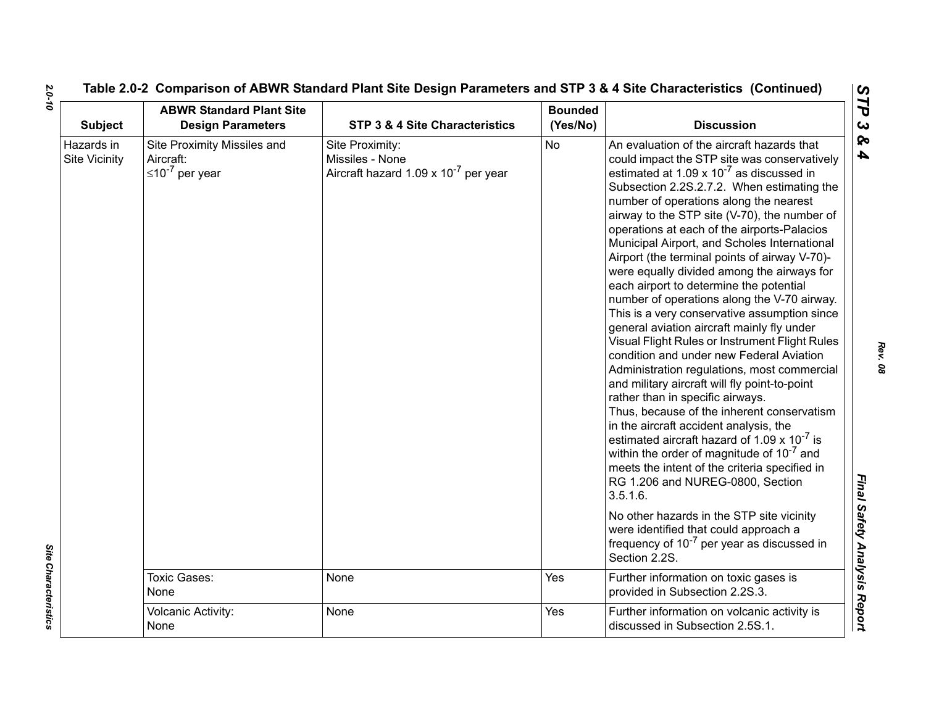| <b>Subject</b>                     | <b>ABWR Standard Plant Site</b><br><b>Design Parameters</b>         | STP 3 & 4 Site Characteristics                                                         | <b>Bounded</b><br>(Yes/No) | <b>Discussion</b>                                                                                                                                                                                                                                                                                                                                                                                                                                                                                                                                                                                                                                                                                                                                                                                                                                                                                                                                                                                                                                                                                                                                                                                                                                                                                                                                                           |
|------------------------------------|---------------------------------------------------------------------|----------------------------------------------------------------------------------------|----------------------------|-----------------------------------------------------------------------------------------------------------------------------------------------------------------------------------------------------------------------------------------------------------------------------------------------------------------------------------------------------------------------------------------------------------------------------------------------------------------------------------------------------------------------------------------------------------------------------------------------------------------------------------------------------------------------------------------------------------------------------------------------------------------------------------------------------------------------------------------------------------------------------------------------------------------------------------------------------------------------------------------------------------------------------------------------------------------------------------------------------------------------------------------------------------------------------------------------------------------------------------------------------------------------------------------------------------------------------------------------------------------------------|
| Hazards in<br><b>Site Vicinity</b> | Site Proximity Missiles and<br>Aircraft:<br>$\leq 10^{-7}$ per year | Site Proximity:<br>Missiles - None<br>Aircraft hazard 1.09 x 10 <sup>-7</sup> per year | <b>No</b>                  | An evaluation of the aircraft hazards that<br>could impact the STP site was conservatively<br>estimated at 1.09 x $10^{-7}$ as discussed in<br>Subsection 2.2S.2.7.2. When estimating the<br>number of operations along the nearest<br>airway to the STP site (V-70), the number of<br>operations at each of the airports-Palacios<br>Municipal Airport, and Scholes International<br>Airport (the terminal points of airway V-70)-<br>were equally divided among the airways for<br>each airport to determine the potential<br>number of operations along the V-70 airway.<br>This is a very conservative assumption since<br>general aviation aircraft mainly fly under<br>Visual Flight Rules or Instrument Flight Rules<br>condition and under new Federal Aviation<br>Administration regulations, most commercial<br>and military aircraft will fly point-to-point<br>rather than in specific airways.<br>Thus, because of the inherent conservatism<br>in the aircraft accident analysis, the<br>estimated aircraft hazard of 1.09 x $10^{-7}$ is<br>within the order of magnitude of $10^{-7}$ and<br>meets the intent of the criteria specified in<br>RG 1.206 and NUREG-0800, Section<br>3.5.1.6.<br>No other hazards in the STP site vicinity<br>were identified that could approach a<br>frequency of 10 <sup>-7</sup> per year as discussed in<br>Section 2.2S. |
|                                    | Toxic Gases:<br>None                                                | None                                                                                   | Yes                        | Further information on toxic gases is<br>provided in Subsection 2.2S.3.                                                                                                                                                                                                                                                                                                                                                                                                                                                                                                                                                                                                                                                                                                                                                                                                                                                                                                                                                                                                                                                                                                                                                                                                                                                                                                     |
|                                    | Volcanic Activity:<br>None                                          | None                                                                                   | Yes                        | Further information on volcanic activity is<br>discussed in Subsection 2.5S.1.                                                                                                                                                                                                                                                                                                                                                                                                                                                                                                                                                                                                                                                                                                                                                                                                                                                                                                                                                                                                                                                                                                                                                                                                                                                                                              |

Site Characteristics *Site Characteristics*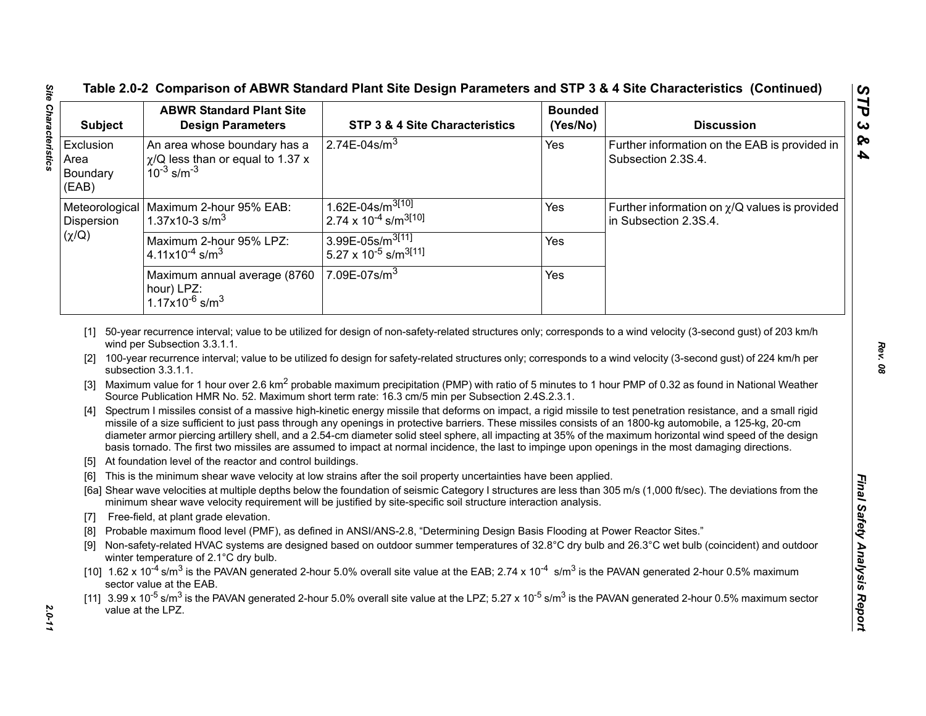| <b>Subject</b>                         | <b>ABWR Standard Plant Site</b><br><b>Design Parameters</b>                                             | STP 3 & 4 Site Characteristics                                                                                                                                                                                                                                                                                                                                                                                                                                                                                                         | <b>Bounded</b><br>(Yes/No) | <b>Discussion</b>                                                                                                                                                                                                                                                                                                                                                                                                                                                                                                                                                                                                                                                             |
|----------------------------------------|---------------------------------------------------------------------------------------------------------|----------------------------------------------------------------------------------------------------------------------------------------------------------------------------------------------------------------------------------------------------------------------------------------------------------------------------------------------------------------------------------------------------------------------------------------------------------------------------------------------------------------------------------------|----------------------------|-------------------------------------------------------------------------------------------------------------------------------------------------------------------------------------------------------------------------------------------------------------------------------------------------------------------------------------------------------------------------------------------------------------------------------------------------------------------------------------------------------------------------------------------------------------------------------------------------------------------------------------------------------------------------------|
| Exclusion<br>Area<br>Boundary<br>(EAB) | An area whose boundary has a<br>$\gamma$ /Q less than or equal to 1.37 x<br>$10^{-3}$ s/m <sup>-3</sup> | $2.74E-04s/m3$                                                                                                                                                                                                                                                                                                                                                                                                                                                                                                                         | Yes                        | Further information on the EAB is provided in<br>Subsection 2.3S.4.                                                                                                                                                                                                                                                                                                                                                                                                                                                                                                                                                                                                           |
| Dispersion                             | Meteorological   Maximum 2-hour 95% EAB:<br>1.37x10-3 s/m <sup>3</sup>                                  | $1.62E - 04s/m^{3[10]}$<br>2.74 x $10^{-4}$ s/m <sup>3[10]</sup>                                                                                                                                                                                                                                                                                                                                                                                                                                                                       | Yes                        | Further information on $\chi$ /Q values is provided<br>in Subsection 2.3S.4.                                                                                                                                                                                                                                                                                                                                                                                                                                                                                                                                                                                                  |
| $(\chi/Q)$                             | Maximum 2-hour 95% LPZ:<br>4.11x10 <sup>-4</sup> s/m <sup>3</sup>                                       | 3.99E-05s/m <sup>3[11]</sup><br>5.27 x 10 <sup>-5</sup> s/m <sup>3[11]</sup>                                                                                                                                                                                                                                                                                                                                                                                                                                                           | Yes                        |                                                                                                                                                                                                                                                                                                                                                                                                                                                                                                                                                                                                                                                                               |
|                                        | Maximum annual average (8760<br>hour) LPZ:<br>$1.17x10^{-6}$ s/m <sup>3</sup>                           | 7.09E-07s/ $\overline{m^3}$                                                                                                                                                                                                                                                                                                                                                                                                                                                                                                            | Yes                        |                                                                                                                                                                                                                                                                                                                                                                                                                                                                                                                                                                                                                                                                               |
|                                        | wind per Subsection 3.3.1.1.                                                                            |                                                                                                                                                                                                                                                                                                                                                                                                                                                                                                                                        |                            | [1] 50-year recurrence interval; value to be utilized for design of non-safety-related structures only; corresponds to a wind velocity (3-second gust) of 203 km/h                                                                                                                                                                                                                                                                                                                                                                                                                                                                                                            |
| [3]<br>$\lceil 5 \rceil$<br>[6]        | subsection 3.3.1.1.<br>At foundation level of the reactor and control buildings.                        | Source Publication HMR No. 52. Maximum short term rate: 16.3 cm/5 min per Subsection 2.4S.2.3.1.<br>missile of a size sufficient to just pass through any openings in protective barriers. These missiles consists of an 1800-kg automobile, a 125-kg, 20-cm<br>basis tornado. The first two missiles are assumed to impact at normal incidence, the last to impinge upon openings in the most damaging directions.<br>This is the minimum shear wave velocity at low strains after the soil property uncertainties have been applied. |                            | [2] 100-year recurrence interval; value to be utilized fo design for safety-related structures only; corresponds to a wind velocity (3-second gust) of 224 km/h per<br>Maximum value for 1 hour over 2.6 km <sup>2</sup> probable maximum precipitation (PMP) with ratio of 5 minutes to 1 hour PMP of 0.32 as found in National Weather<br>[4] Spectrum I missiles consist of a massive high-kinetic energy missile that deforms on impact, a rigid missile to test penetration resistance, and a small rigid<br>diameter armor piercing artillery shell, and a 2.54-cm diameter solid steel sphere, all impacting at 35% of the maximum horizontal wind speed of the design |
|                                        |                                                                                                         | minimum shear wave velocity requirement will be justified by site-specific soil structure interaction analysis.                                                                                                                                                                                                                                                                                                                                                                                                                        |                            | [6a] Shear wave velocities at multiple depths below the foundation of seismic Category I structures are less than 305 m/s (1,000 ft/sec). The deviations from the                                                                                                                                                                                                                                                                                                                                                                                                                                                                                                             |
| $[7]$                                  | Free-field, at plant grade elevation.                                                                   |                                                                                                                                                                                                                                                                                                                                                                                                                                                                                                                                        |                            |                                                                                                                                                                                                                                                                                                                                                                                                                                                                                                                                                                                                                                                                               |
| [8]<br>[9]                             | winter temperature of 2.1°C dry bulb.                                                                   | Probable maximum flood level (PMF), as defined in ANSI/ANS-2.8, "Determining Design Basis Flooding at Power Reactor Sites."                                                                                                                                                                                                                                                                                                                                                                                                            |                            | Non-safety-related HVAC systems are designed based on outdoor summer temperatures of 32.8°C dry bulb and 26.3°C wet bulb (coincident) and outdoor                                                                                                                                                                                                                                                                                                                                                                                                                                                                                                                             |
|                                        | sector value at the EAB.                                                                                | [10] $1.62 \times 10^{-4}$ s/m <sup>3</sup> is the PAVAN generated 2-hour 5.0% overall site value at the EAB; 2.74 x 10 <sup>-4</sup> s/m <sup>3</sup> is the PAVAN generated 2-hour 0.5% maximum                                                                                                                                                                                                                                                                                                                                      |                            | [11] $3.99 \times 10^{-5}$ s/m <sup>3</sup> is the PAVAN generated 2-hour 5.0% overall site value at the LPZ; 5.27 x 10 <sup>-5</sup> s/m <sup>3</sup> is the PAVAN generated 2-hour 0.5% maximum sector                                                                                                                                                                                                                                                                                                                                                                                                                                                                      |

- 
- 
- 

*STP 3 & 4*